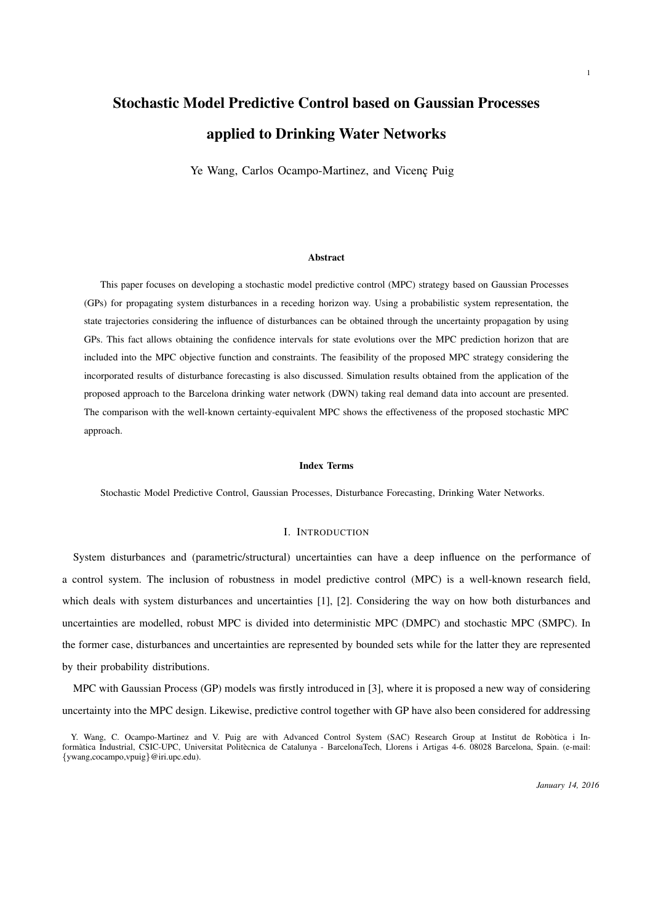# Stochastic Model Predictive Control based on Gaussian Processes applied to Drinking Water Networks

Ye Wang, Carlos Ocampo-Martinez, and Vicenç Puig

#### Abstract

This paper focuses on developing a stochastic model predictive control (MPC) strategy based on Gaussian Processes (GPs) for propagating system disturbances in a receding horizon way. Using a probabilistic system representation, the state trajectories considering the influence of disturbances can be obtained through the uncertainty propagation by using GPs. This fact allows obtaining the confidence intervals for state evolutions over the MPC prediction horizon that are included into the MPC objective function and constraints. The feasibility of the proposed MPC strategy considering the incorporated results of disturbance forecasting is also discussed. Simulation results obtained from the application of the proposed approach to the Barcelona drinking water network (DWN) taking real demand data into account are presented. The comparison with the well-known certainty-equivalent MPC shows the effectiveness of the proposed stochastic MPC approach.

#### Index Terms

Stochastic Model Predictive Control, Gaussian Processes, Disturbance Forecasting, Drinking Water Networks.

#### I. INTRODUCTION

System disturbances and (parametric/structural) uncertainties can have a deep influence on the performance of a control system. The inclusion of robustness in model predictive control (MPC) is a well-known research field, which deals with system disturbances and uncertainties [1], [2]. Considering the way on how both disturbances and uncertainties are modelled, robust MPC is divided into deterministic MPC (DMPC) and stochastic MPC (SMPC). In the former case, disturbances and uncertainties are represented by bounded sets while for the latter they are represented by their probability distributions.

MPC with Gaussian Process (GP) models was firstly introduced in [3], where it is proposed a new way of considering uncertainty into the MPC design. Likewise, predictive control together with GP have also been considered for addressing

Y. Wang, C. Ocampo-Martinez and V. Puig are with Advanced Control System (SAC) Research Group at Institut de Robotica i Informàtica Industrial, CSIC-UPC, Universitat Politècnica de Catalunya - BarcelonaTech, Llorens i Artigas 4-6. 08028 Barcelona, Spain. (e-mail: {ywang,cocampo,vpuig}@iri.upc.edu).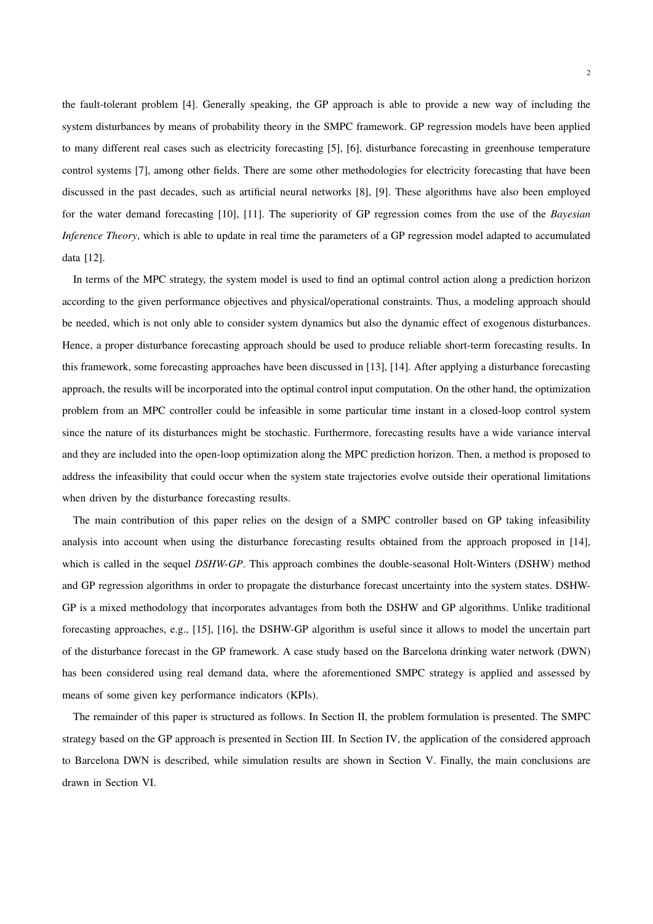the fault-tolerant problem [4]. Generally speaking, the GP approach is able to provide a new way of including the system disturbances by means of probability theory in the SMPC framework. GP regression models have been applied to many different real cases such as electricity forecasting [5], [6], disturbance forecasting in greenhouse temperature control systems [7], among other fields. There are some other methodologies for electricity forecasting that have been discussed in the past decades, such as artificial neural networks [8], [9]. These algorithms have also been employed for the water demand forecasting [10], [11]. The superiority of GP regression comes from the use of the *Bayesian Inference Theory*, which is able to update in real time the parameters of a GP regression model adapted to accumulated data [12].

In terms of the MPC strategy, the system model is used to find an optimal control action along a prediction horizon according to the given performance objectives and physical/operational constraints. Thus, a modeling approach should be needed, which is not only able to consider system dynamics but also the dynamic effect of exogenous disturbances. Hence, a proper disturbance forecasting approach should be used to produce reliable short-term forecasting results. In this framework, some forecasting approaches have been discussed in [13], [14]. After applying a disturbance forecasting approach, the results will be incorporated into the optimal control input computation. On the other hand, the optimization problem from an MPC controller could be infeasible in some particular time instant in a closed-loop control system since the nature of its disturbances might be stochastic. Furthermore, forecasting results have a wide variance interval and they are included into the open-loop optimization along the MPC prediction horizon. Then, a method is proposed to address the infeasibility that could occur when the system state trajectories evolve outside their operational limitations when driven by the disturbance forecasting results.

The main contribution of this paper relies on the design of a SMPC controller based on GP taking infeasibility analysis into account when using the disturbance forecasting results obtained from the approach proposed in [14], which is called in the sequel *DSHW-GP*. This approach combines the double-seasonal Holt-Winters (DSHW) method and GP regression algorithms in order to propagate the disturbance forecast uncertainty into the system states. DSHW-GP is a mixed methodology that incorporates advantages from both the DSHW and GP algorithms. Unlike traditional forecasting approaches, e.g., [15], [16], the DSHW-GP algorithm is useful since it allows to model the uncertain part of the disturbance forecast in the GP framework. A case study based on the Barcelona drinking water network (DWN) has been considered using real demand data, where the aforementioned SMPC strategy is applied and assessed by means of some given key performance indicators (KPIs).

The remainder of this paper is structured as follows. In Section II, the problem formulation is presented. The SMPC strategy based on the GP approach is presented in Section III. In Section IV, the application of the considered approach to Barcelona DWN is described, while simulation results are shown in Section V. Finally, the main conclusions are drawn in Section VI.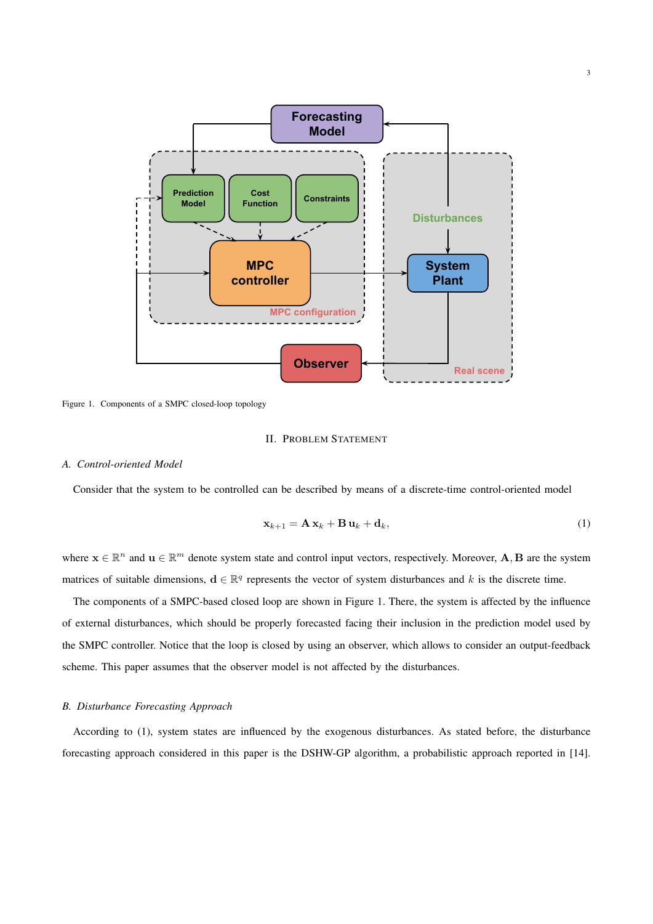

Figure 1. Components of a SMPC closed-loop topology

## II. PROBLEM STATEMENT

## *A. Control-oriented Model*

Consider that the system to be controlled can be described by means of a discrete-time control-oriented model

$$
\mathbf{x}_{k+1} = \mathbf{A}\,\mathbf{x}_k + \mathbf{B}\,\mathbf{u}_k + \mathbf{d}_k,\tag{1}
$$

where  $\mathbf{x} \in \mathbb{R}^n$  and  $\mathbf{u} \in \mathbb{R}^m$  denote system state and control input vectors, respectively. Moreover,  $\mathbf{A}, \mathbf{B}$  are the system matrices of suitable dimensions,  $d \in \mathbb{R}^q$  represents the vector of system disturbances and k is the discrete time.

The components of a SMPC-based closed loop are shown in Figure 1. There, the system is affected by the influence of external disturbances, which should be properly forecasted facing their inclusion in the prediction model used by the SMPC controller. Notice that the loop is closed by using an observer, which allows to consider an output-feedback scheme. This paper assumes that the observer model is not affected by the disturbances.

## *B. Disturbance Forecasting Approach*

According to (1), system states are influenced by the exogenous disturbances. As stated before, the disturbance forecasting approach considered in this paper is the DSHW-GP algorithm, a probabilistic approach reported in [14].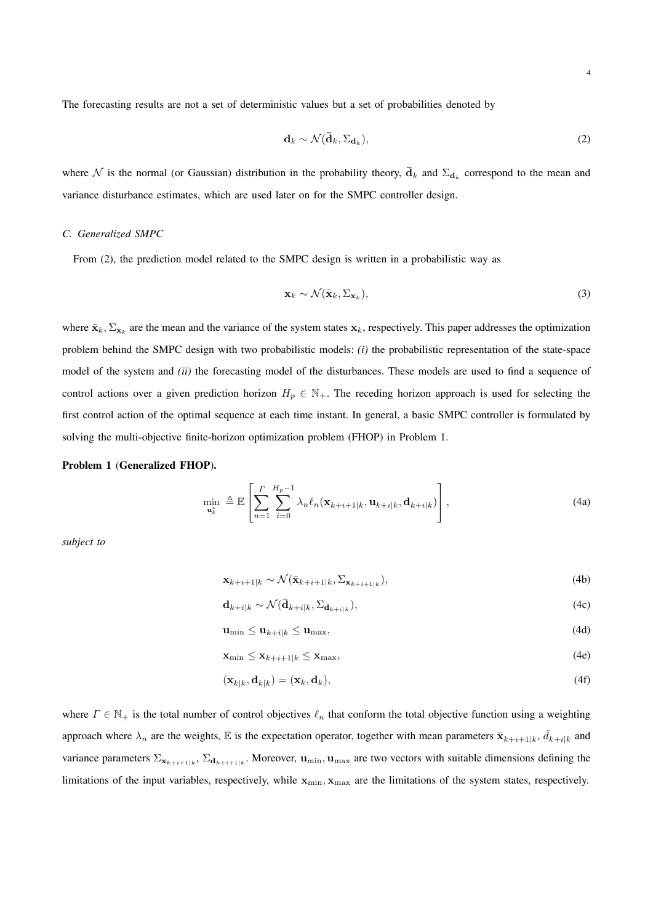The forecasting results are not a set of deterministic values but a set of probabilities denoted by

$$
\mathbf{d}_k \sim \mathcal{N}(\bar{\mathbf{d}}_k, \Sigma_{\mathbf{d}_k}),\tag{2}
$$

where  $\mathcal N$  is the normal (or Gaussian) distribution in the probability theory,  $\bar{\mathbf{d}}_k$  and  $\Sigma_{\mathbf{d}_k}$  correspond to the mean and variance disturbance estimates, which are used later on for the SMPC controller design.

## *C. Generalized SMPC*

From (2), the prediction model related to the SMPC design is written in a probabilistic way as

$$
\mathbf{x}_k \sim \mathcal{N}(\bar{\mathbf{x}}_k, \Sigma_{\mathbf{x}_k}),\tag{3}
$$

where  $\bar{\mathbf{x}}_k$ ,  $\Sigma_{\mathbf{x}_k}$  are the mean and the variance of the system states  $\mathbf{x}_k$ , respectively. This paper addresses the optimization problem behind the SMPC design with two probabilistic models: *(i)* the probabilistic representation of the state-space model of the system and *(ii)* the forecasting model of the disturbances. These models are used to find a sequence of control actions over a given prediction horizon  $H_p \in \mathbb{N}_+$ . The receding horizon approach is used for selecting the first control action of the optimal sequence at each time instant. In general, a basic SMPC controller is formulated by solving the multi-objective finite-horizon optimization problem (FHOP) in Problem 1.

## Problem 1 (Generalized FHOP).

$$
\min_{\mathbf{u}_{k}^{*}} \triangleq \mathbb{E}\left[\sum_{n=1}^{\Gamma} \sum_{i=0}^{H_{p}-1} \lambda_{n} \ell_{n}(\mathbf{x}_{k+i+1|k}, \mathbf{u}_{k+i|k}, \mathbf{d}_{k+i|k})\right],
$$
\n(4a)

*subject to*

$$
\mathbf{x}_{k+i+1|k} \sim \mathcal{N}(\bar{\mathbf{x}}_{k+i+1|k}, \Sigma_{\mathbf{x}_{k+i+1|k}}),\tag{4b}
$$

$$
\mathbf{d}_{k+i|k} \sim \mathcal{N}(\bar{\mathbf{d}}_{k+i|k}, \Sigma_{\mathbf{d}_{k+i|k}}),\tag{4c}
$$

$$
\mathbf{u}_{\min} \le \mathbf{u}_{k+i|k} \le \mathbf{u}_{\max},\tag{4d}
$$

$$
\mathbf{x}_{\min} \le \mathbf{x}_{k+i+1|k} \le \mathbf{x}_{\max},\tag{4e}
$$

$$
(\mathbf{x}_{k|k}, \mathbf{d}_{k|k}) = (\mathbf{x}_k, \mathbf{d}_k),\tag{4f}
$$

where  $\Gamma \in \mathbb{N}_+$  is the total number of control objectives  $\ell_n$  that conform the total objective function using a weighting approach where  $\lambda_n$  are the weights, E is the expectation operator, together with mean parameters  $\bar{\mathbf{x}}_{k+i+1|k}$ ,  $\bar{d}_{k+i|k}$  and variance parameters  $\Sigma_{\mathbf{x}_{k+i+1|k}}$ ,  $\Sigma_{\mathbf{d}_{k+i+1|k}}$ . Moreover,  $\mathbf{u}_{\min}$ ,  $\mathbf{u}_{\max}$  are two vectors with suitable dimensions defining the limitations of the input variables, respectively, while  $x_{min}$ ,  $x_{max}$  are the limitations of the system states, respectively.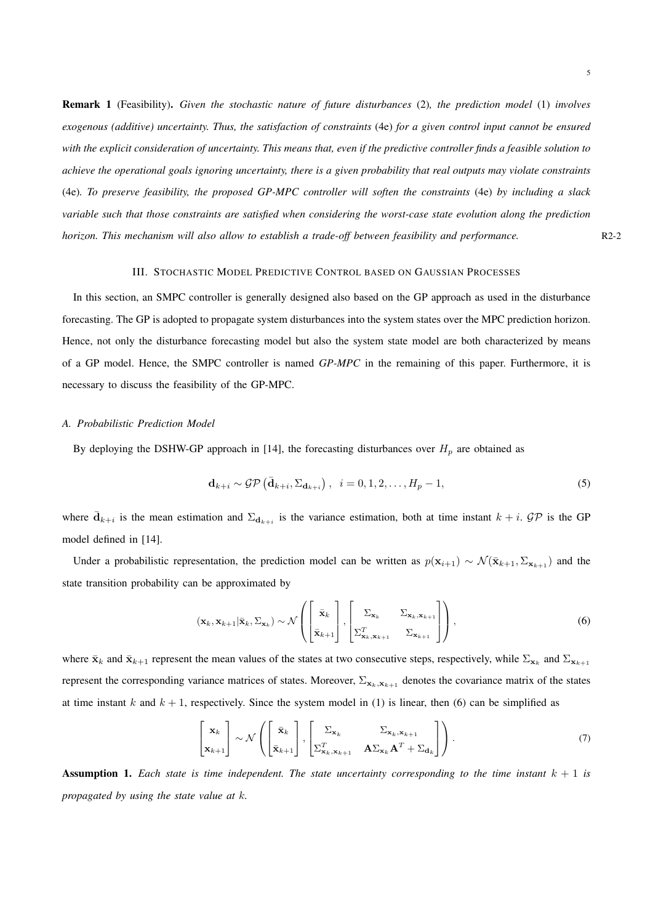Remark 1 (Feasibility). *Given the stochastic nature of future disturbances* (2)*, the prediction model* (1) *involves exogenous (additive) uncertainty. Thus, the satisfaction of constraints* (4e) *for a given control input cannot be ensured with the explicit consideration of uncertainty. This means that, even if the predictive controller finds a feasible solution to achieve the operational goals ignoring uncertainty, there is a given probability that real outputs may violate constraints* (4e)*. To preserve feasibility, the proposed GP-MPC controller will soften the constraints* (4e) *by including a slack variable such that those constraints are satisfied when considering the worst-case state evolution along the prediction horizon. This mechanism will also allow to establish a trade-off between feasibility and performance.* R2-2

## III. STOCHASTIC MODEL PREDICTIVE CONTROL BASED ON GAUSSIAN PROCESSES

In this section, an SMPC controller is generally designed also based on the GP approach as used in the disturbance forecasting. The GP is adopted to propagate system disturbances into the system states over the MPC prediction horizon. Hence, not only the disturbance forecasting model but also the system state model are both characterized by means of a GP model. Hence, the SMPC controller is named *GP-MPC* in the remaining of this paper. Furthermore, it is necessary to discuss the feasibility of the GP-MPC.

#### *A. Probabilistic Prediction Model*

By deploying the DSHW-GP approach in [14], the forecasting disturbances over  $H_p$  are obtained as

$$
\mathbf{d}_{k+i} \sim \mathcal{GP}\left(\bar{\mathbf{d}}_{k+i}, \Sigma_{\mathbf{d}_{k+i}}\right), \quad i = 0, 1, 2, \dots, H_p - 1,\tag{5}
$$

where  $\bar{d}_{k+i}$  is the mean estimation and  $\Sigma_{d_{k+i}}$  is the variance estimation, both at time instant  $k+i$ . GP is the GP model defined in [14].

Under a probabilistic representation, the prediction model can be written as  $p(\mathbf{x}_{i+1}) \sim \mathcal{N}(\bar{\mathbf{x}}_{k+1}, \Sigma_{\mathbf{x}_{k+1}})$  and the state transition probability can be approximated by

$$
(\mathbf{x}_k, \mathbf{x}_{k+1} | \bar{\mathbf{x}}_k, \Sigma_{\mathbf{x}_k}) \sim \mathcal{N}\left(\begin{bmatrix} \bar{\mathbf{x}}_k \\ \bar{\mathbf{x}}_{k+1} \end{bmatrix}, \begin{bmatrix} \Sigma_{\mathbf{x}_k} & \Sigma_{\mathbf{x}_k, \mathbf{x}_{k+1}} \\ \Sigma_{\mathbf{x}_k, \mathbf{x}_{k+1}}^T & \Sigma_{\mathbf{x}_{k+1}} \end{bmatrix}\right),
$$
(6)

where  $\bar{\mathbf{x}}_k$  and  $\bar{\mathbf{x}}_{k+1}$  represent the mean values of the states at two consecutive steps, respectively, while  $\Sigma_{\mathbf{x}_k}$  and  $\Sigma_{\mathbf{x}_{k+1}}$ represent the corresponding variance matrices of states. Moreover,  $\Sigma_{\mathbf{x}_k,\mathbf{x}_{k+1}}$  denotes the covariance matrix of the states at time instant k and  $k + 1$ , respectively. Since the system model in (1) is linear, then (6) can be simplified as

$$
\begin{bmatrix} \mathbf{x}_{k} \\ \mathbf{x}_{k+1} \end{bmatrix} \sim \mathcal{N} \left( \begin{bmatrix} \bar{\mathbf{x}}_{k} \\ \bar{\mathbf{x}}_{k+1} \end{bmatrix}, \begin{bmatrix} \Sigma_{\mathbf{x}_{k}} & \Sigma_{\mathbf{x}_{k}, \mathbf{x}_{k+1}} \\ \Sigma_{\mathbf{x}_{k}, \mathbf{x}_{k+1}}^{T} & \mathbf{A} \Sigma_{\mathbf{x}_{k}} \mathbf{A}^{T} + \Sigma_{\mathbf{d}_{k}} \end{bmatrix} \right). \tag{7}
$$

**Assumption 1.** Each state is time independent. The state uncertainty corresponding to the time instant  $k + 1$  is *propagated by using the state value at* k*.*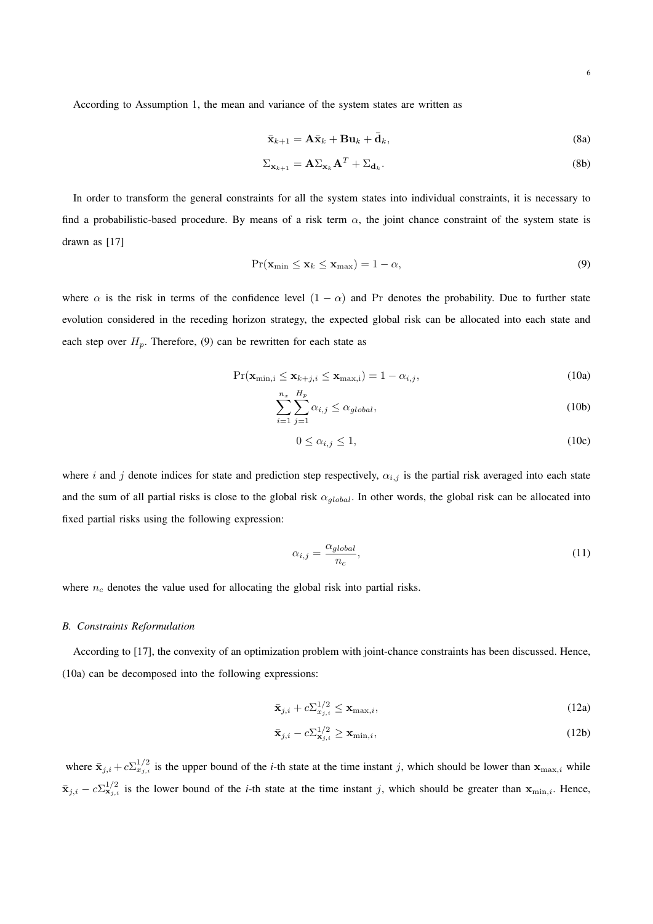According to Assumption 1, the mean and variance of the system states are written as

$$
\bar{\mathbf{x}}_{k+1} = \mathbf{A}\bar{\mathbf{x}}_k + \mathbf{B}\mathbf{u}_k + \bar{\mathbf{d}}_k, \tag{8a}
$$

$$
\Sigma_{\mathbf{x}_{k+1}} = \mathbf{A} \Sigma_{\mathbf{x}_k} \mathbf{A}^T + \Sigma_{\mathbf{d}_k}.
$$
 (8b)

In order to transform the general constraints for all the system states into individual constraints, it is necessary to find a probabilistic-based procedure. By means of a risk term  $\alpha$ , the joint chance constraint of the system state is drawn as [17]

$$
Pr(\mathbf{x}_{\min} \le \mathbf{x}_k \le \mathbf{x}_{\max}) = 1 - \alpha,\tag{9}
$$

where  $\alpha$  is the risk in terms of the confidence level  $(1 - \alpha)$  and Pr denotes the probability. Due to further state evolution considered in the receding horizon strategy, the expected global risk can be allocated into each state and each step over  $H_p$ . Therefore, (9) can be rewritten for each state as

$$
\Pr(\mathbf{x}_{\min,i} \le \mathbf{x}_{k+j,i} \le \mathbf{x}_{\max,i}) = 1 - \alpha_{i,j},\tag{10a}
$$

$$
\sum_{i=1}^{n_x} \sum_{j=1}^{H_p} \alpha_{i,j} \le \alpha_{global},\tag{10b}
$$

$$
0 \le \alpha_{i,j} \le 1,\tag{10c}
$$

where i and j denote indices for state and prediction step respectively,  $\alpha_{i,j}$  is the partial risk averaged into each state and the sum of all partial risks is close to the global risk  $\alpha_{global}$ . In other words, the global risk can be allocated into fixed partial risks using the following expression:

$$
\alpha_{i,j} = \frac{\alpha_{global}}{n_c},\tag{11}
$$

where  $n_c$  denotes the value used for allocating the global risk into partial risks.

#### *B. Constraints Reformulation*

According to [17], the convexity of an optimization problem with joint-chance constraints has been discussed. Hence, (10a) can be decomposed into the following expressions:

$$
\bar{\mathbf{x}}_{j,i} + c \Sigma_{x_{j,i}}^{1/2} \le \mathbf{x}_{\max,i},\tag{12a}
$$

$$
\bar{\mathbf{x}}_{j,i} - c \Sigma_{\mathbf{x}_{j,i}}^{1/2} \ge \mathbf{x}_{\min,i},\tag{12b}
$$

where  $\bar{\mathbf{x}}_{j,i} + c \sum_{x_j,i}^{1/2}$  is the upper bound of the *i*-th state at the time instant j, which should be lower than  $\mathbf{x}_{\text{max},i}$  while  $\bar{\mathbf{x}}_{j,i} - c \sum_{\mathbf{x}_j,i}^{1/2}$  is the lower bound of the *i*-th state at the time instant j, which should be greater than  $\mathbf{x}_{\min,i}$ . Hence,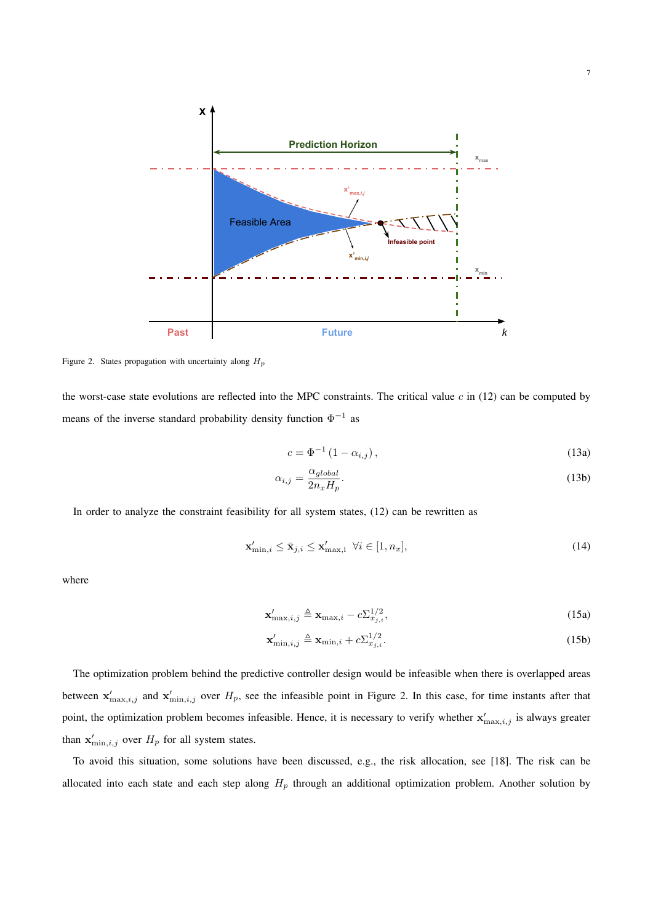

Figure 2. States propagation with uncertainty along  $H_p$ 

the worst-case state evolutions are reflected into the MPC constraints. The critical value  $c$  in (12) can be computed by means of the inverse standard probability density function  $\Phi^{-1}$  as

$$
c = \Phi^{-1} \left( 1 - \alpha_{i,j} \right),\tag{13a}
$$

$$
\alpha_{i,j} = \frac{\alpha_{global}}{2n_x H_p}.\tag{13b}
$$

In order to analyze the constraint feasibility for all system states, (12) can be rewritten as

$$
\mathbf{x}'_{\min,i} \le \bar{\mathbf{x}}_{j,i} \le \mathbf{x}'_{\max,i} \ \forall i \in [1, n_x],\tag{14}
$$

where

$$
\mathbf{x}'_{\max,i,j} \triangleq \mathbf{x}_{\max,i} - c \sum_{x,j,i}^{1/2},\tag{15a}
$$

$$
\mathbf{x}'_{\min,i,j} \triangleq \mathbf{x}_{\min,i} + c \Sigma_{x_{j,i}}^{1/2}.
$$
\n(15b)

The optimization problem behind the predictive controller design would be infeasible when there is overlapped areas between  $\mathbf{x}'_{\text{max},i,j}$  and  $\mathbf{x}'_{\text{min},i,j}$  over  $H_p$ , see the infeasible point in Figure 2. In this case, for time instants after that point, the optimization problem becomes infeasible. Hence, it is necessary to verify whether  $x'_{\max,i,j}$  is always greater than  $\mathbf{x}'_{\min,i,j}$  over  $H_p$  for all system states.

To avoid this situation, some solutions have been discussed, e.g., the risk allocation, see [18]. The risk can be allocated into each state and each step along  $H_p$  through an additional optimization problem. Another solution by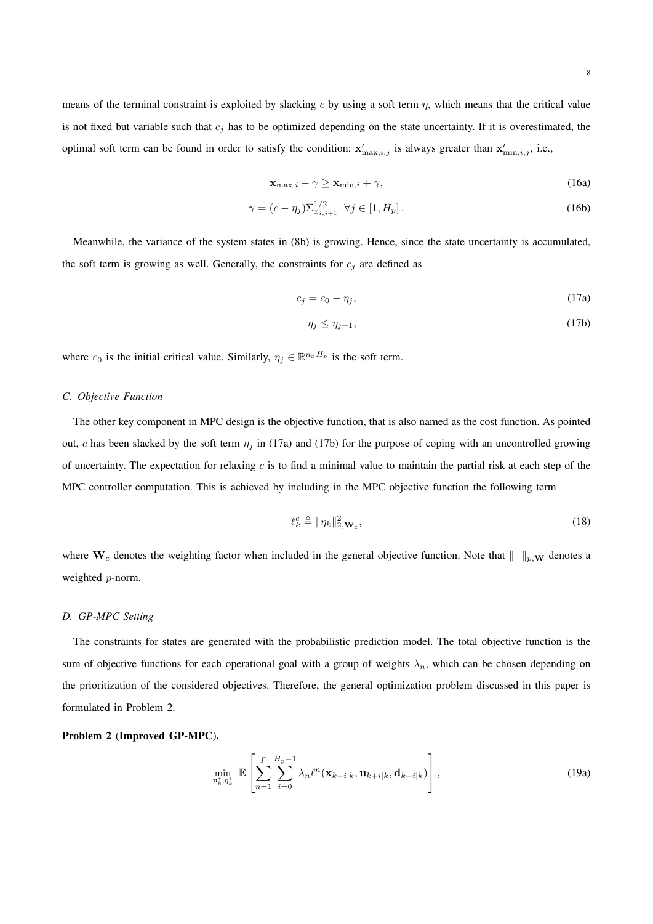means of the terminal constraint is exploited by slacking c by using a soft term  $\eta$ , which means that the critical value is not fixed but variable such that  $c_j$  has to be optimized depending on the state uncertainty. If it is overestimated, the optimal soft term can be found in order to satisfy the condition:  $\mathbf{x}'_{\text{max},i,j}$  is always greater than  $\mathbf{x}'_{\text{min},i,j}$ , i.e.,

$$
\mathbf{x}_{\max,i} - \gamma \ge \mathbf{x}_{\min,i} + \gamma,\tag{16a}
$$

$$
\gamma = (c - \eta_j) \Sigma_{x_{i,j+1}}^{1/2} \quad \forall j \in [1, H_p].
$$
\n(16b)

Meanwhile, the variance of the system states in (8b) is growing. Hence, since the state uncertainty is accumulated, the soft term is growing as well. Generally, the constraints for  $c_i$  are defined as

$$
c_j = c_0 - \eta_j,\tag{17a}
$$

$$
\eta_j \le \eta_{j+1},\tag{17b}
$$

where  $c_0$  is the initial critical value. Similarly,  $\eta_j \in \mathbb{R}^{n_x H_p}$  is the soft term.

## *C. Objective Function*

The other key component in MPC design is the objective function, that is also named as the cost function. As pointed out, c has been slacked by the soft term  $\eta_j$  in (17a) and (17b) for the purpose of coping with an uncontrolled growing of uncertainty. The expectation for relaxing  $c$  is to find a minimal value to maintain the partial risk at each step of the MPC controller computation. This is achieved by including in the MPC objective function the following term

$$
\ell_k^c \triangleq \|\eta_k\|_{2,\mathbf{W}_c}^2,\tag{18}
$$

where  $W_c$  denotes the weighting factor when included in the general objective function. Note that  $\|\cdot\|_{p,\mathbf{W}}$  denotes a weighted p-norm.

## *D. GP-MPC Setting*

The constraints for states are generated with the probabilistic prediction model. The total objective function is the sum of objective functions for each operational goal with a group of weights  $\lambda_n$ , which can be chosen depending on the prioritization of the considered objectives. Therefore, the general optimization problem discussed in this paper is formulated in Problem 2.

## Problem 2 (Improved GP-MPC).

$$
\min_{\mathbf{u}_k^*, \eta_k^*} \mathbb{E}\left[\sum_{n=1}^{\Gamma} \sum_{i=0}^{H_p-1} \lambda_n \ell^n(\mathbf{x}_{k+i|k}, \mathbf{u}_{k+i|k}, \mathbf{d}_{k+i|k})\right],
$$
\n(19a)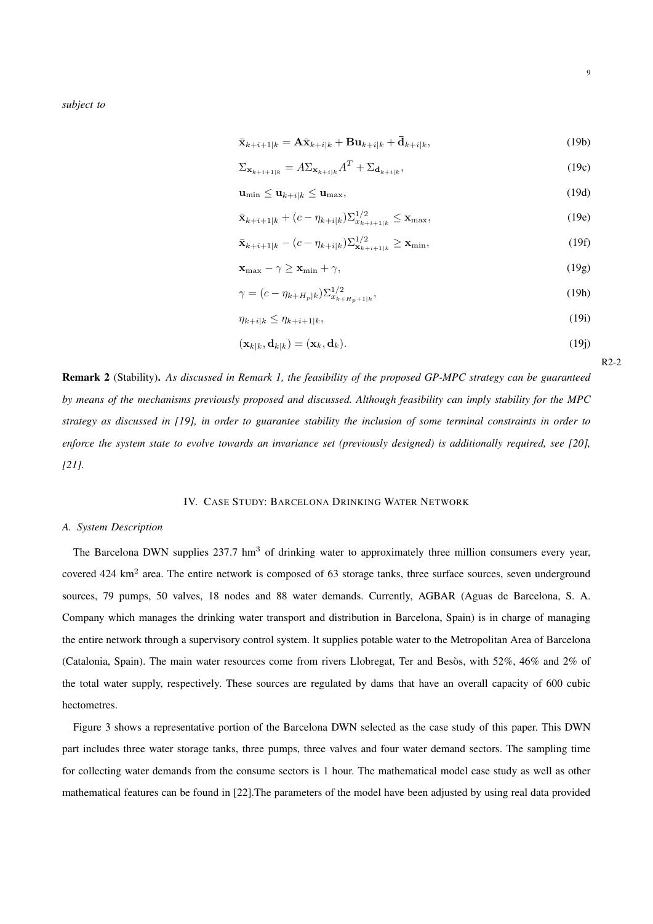*subject to*

$$
\bar{\mathbf{x}}_{k+i+1|k} = \mathbf{A}\bar{\mathbf{x}}_{k+i|k} + \mathbf{B}\mathbf{u}_{k+i|k} + \bar{\mathbf{d}}_{k+i|k},\tag{19b}
$$

$$
\Sigma_{\mathbf{x}_{k+i+1|k}} = A \Sigma_{\mathbf{x}_{k+i|k}} A^T + \Sigma_{\mathbf{d}_{k+i|k}},
$$
\n(19c)

$$
\mathbf{u}_{\min} \le \mathbf{u}_{k+i|k} \le \mathbf{u}_{\max},\tag{19d}
$$

$$
\bar{\mathbf{x}}_{k+i+1|k} + (c - \eta_{k+i|k}) \sum_{k+i+1|k}^{1/2} \le \mathbf{x}_{\max},
$$
\n(19e)

$$
\bar{\mathbf{x}}_{k+i+1|k} - (c - \eta_{k+i|k}) \Sigma_{\mathbf{x}_{k+i+1|k}}^{1/2} \ge \mathbf{x}_{\min},\tag{19f}
$$

$$
\mathbf{x}_{\max} - \gamma \ge \mathbf{x}_{\min} + \gamma,\tag{19g}
$$

$$
\gamma = (c - \eta_{k+H_p|k}) \Sigma_{x_{k+H_p+1|k}}^{1/2},\tag{19h}
$$

$$
\eta_{k+i|k} \le \eta_{k+i+1|k},\tag{19i}
$$

$$
(\mathbf{x}_{k|k}, \mathbf{d}_{k|k}) = (\mathbf{x}_k, \mathbf{d}_k). \tag{19}
$$

Remark 2 (Stability). *As discussed in Remark 1, the feasibility of the proposed GP-MPC strategy can be guaranteed by means of the mechanisms previously proposed and discussed. Although feasibility can imply stability for the MPC strategy as discussed in [19], in order to guarantee stability the inclusion of some terminal constraints in order to enforce the system state to evolve towards an invariance set (previously designed) is additionally required, see [20], [21].*

## IV. CASE STUDY: BARCELONA DRINKING WATER NETWORK

#### *A. System Description*

The Barcelona DWN supplies 237.7 hm<sup>3</sup> of drinking water to approximately three million consumers every year, covered  $424 \text{ km}^2$  area. The entire network is composed of 63 storage tanks, three surface sources, seven underground sources, 79 pumps, 50 valves, 18 nodes and 88 water demands. Currently, AGBAR (Aguas de Barcelona, S. A. Company which manages the drinking water transport and distribution in Barcelona, Spain) is in charge of managing the entire network through a supervisory control system. It supplies potable water to the Metropolitan Area of Barcelona (Catalonia, Spain). The main water resources come from rivers Llobregat, Ter and Besos, with  $52\%$ ,  $46\%$  and  $2\%$  of the total water supply, respectively. These sources are regulated by dams that have an overall capacity of 600 cubic hectometres.

Figure 3 shows a representative portion of the Barcelona DWN selected as the case study of this paper. This DWN part includes three water storage tanks, three pumps, three valves and four water demand sectors. The sampling time for collecting water demands from the consume sectors is 1 hour. The mathematical model case study as well as other mathematical features can be found in [22].The parameters of the model have been adjusted by using real data provided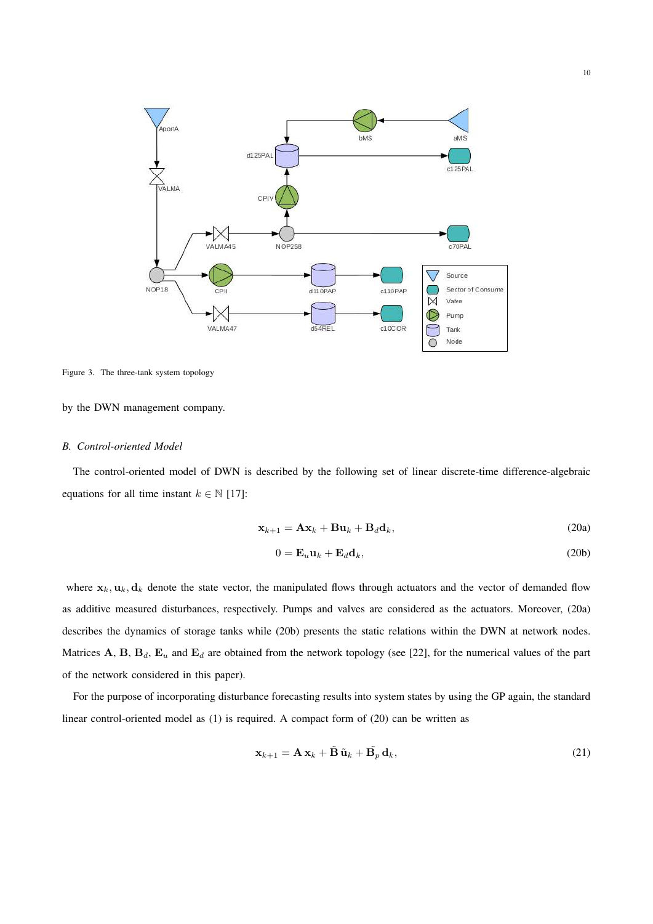

Figure 3. The three-tank system topology

by the DWN management company.

#### *B. Control-oriented Model*

The control-oriented model of DWN is described by the following set of linear discrete-time difference-algebraic equations for all time instant  $k \in \mathbb{N}$  [17]:

$$
\mathbf{x}_{k+1} = \mathbf{A}\mathbf{x}_k + \mathbf{B}\mathbf{u}_k + \mathbf{B}_d\mathbf{d}_k, \tag{20a}
$$

$$
0 = \mathbf{E}_u \mathbf{u}_k + \mathbf{E}_d \mathbf{d}_k, \tag{20b}
$$

where  $x_k$ ,  $u_k$ ,  $d_k$  denote the state vector, the manipulated flows through actuators and the vector of demanded flow as additive measured disturbances, respectively. Pumps and valves are considered as the actuators. Moreover, (20a) describes the dynamics of storage tanks while (20b) presents the static relations within the DWN at network nodes. Matrices A, B,  $B_d$ ,  $E_u$  and  $E_d$  are obtained from the network topology (see [22], for the numerical values of the part of the network considered in this paper).

For the purpose of incorporating disturbance forecasting results into system states by using the GP again, the standard linear control-oriented model as (1) is required. A compact form of (20) can be written as

$$
\mathbf{x}_{k+1} = \mathbf{A}\,\mathbf{x}_k + \tilde{\mathbf{B}}\,\tilde{\mathbf{u}}_k + \tilde{\mathbf{B}_p}\,\mathbf{d}_k,\tag{21}
$$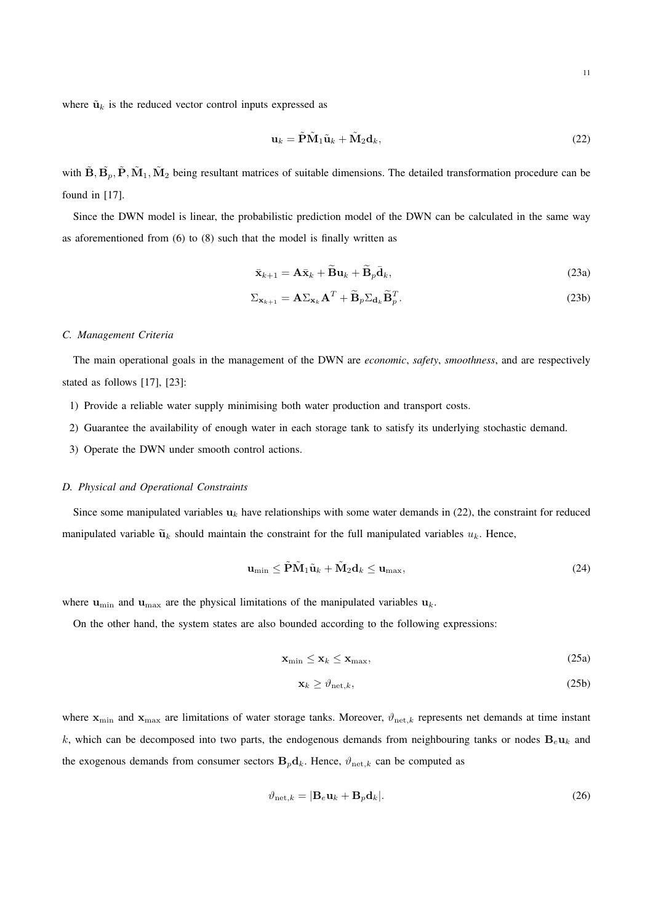where  $\tilde{\mathbf{u}}_k$  is the reduced vector control inputs expressed as

$$
\mathbf{u}_k = \tilde{\mathbf{P}} \tilde{\mathbf{M}}_1 \tilde{\mathbf{u}}_k + \tilde{\mathbf{M}}_2 \mathbf{d}_k, \tag{22}
$$

with  $\tilde{\bf B}, \tilde{\bf B}_p, \tilde{\bf P}, \tilde{\bf M}_1, \tilde{\bf M}_2$  being resultant matrices of suitable dimensions. The detailed transformation procedure can be found in [17].

Since the DWN model is linear, the probabilistic prediction model of the DWN can be calculated in the same way as aforementioned from (6) to (8) such that the model is finally written as

$$
\bar{\mathbf{x}}_{k+1} = \mathbf{A}\bar{\mathbf{x}}_k + \widetilde{\mathbf{B}}\mathbf{u}_k + \widetilde{\mathbf{B}}_p\bar{\mathbf{d}}_k, \tag{23a}
$$

$$
\Sigma_{\mathbf{x}_{k+1}} = \mathbf{A} \Sigma_{\mathbf{x}_k} \mathbf{A}^T + \widetilde{\mathbf{B}}_p \Sigma_{\mathbf{d}_k} \widetilde{\mathbf{B}}_p^T.
$$
 (23b)

#### *C. Management Criteria*

The main operational goals in the management of the DWN are *economic*, *safety*, *smoothness*, and are respectively stated as follows [17], [23]:

- 1) Provide a reliable water supply minimising both water production and transport costs.
- 2) Guarantee the availability of enough water in each storage tank to satisfy its underlying stochastic demand.
- 3) Operate the DWN under smooth control actions.

## *D. Physical and Operational Constraints*

Since some manipulated variables  $u_k$  have relationships with some water demands in (22), the constraint for reduced manipulated variable  $\tilde{u}_k$  should maintain the constraint for the full manipulated variables  $u_k$ . Hence,

$$
\mathbf{u}_{\min} \le \tilde{\mathbf{P}} \tilde{\mathbf{M}}_1 \tilde{\mathbf{u}}_k + \tilde{\mathbf{M}}_2 \mathbf{d}_k \le \mathbf{u}_{\max},\tag{24}
$$

where  $\mathbf{u}_{\text{min}}$  and  $\mathbf{u}_{\text{max}}$  are the physical limitations of the manipulated variables  $\mathbf{u}_k$ .

On the other hand, the system states are also bounded according to the following expressions:

$$
\mathbf{x}_{\min} \leq \mathbf{x}_k \leq \mathbf{x}_{\max},\tag{25a}
$$

$$
\mathbf{x}_k \ge \vartheta_{\text{net},k},\tag{25b}
$$

where  $x_{\min}$  and  $x_{\max}$  are limitations of water storage tanks. Moreover,  $\vartheta_{\text{net},k}$  represents net demands at time instant k, which can be decomposed into two parts, the endogenous demands from neighbouring tanks or nodes  $B_e u_k$  and the exogenous demands from consumer sectors  $B_p d_k$ . Hence,  $\vartheta_{\text{net},k}$  can be computed as

$$
\vartheta_{\text{net},k} = |\mathbf{B}_e \mathbf{u}_k + \mathbf{B}_p \mathbf{d}_k|.
$$
 (26)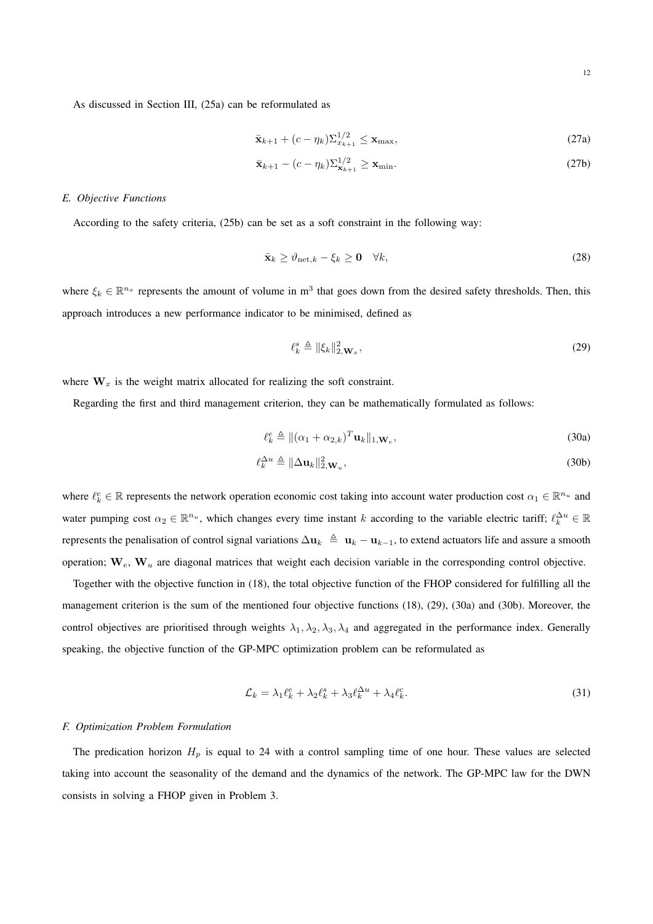As discussed in Section III, (25a) can be reformulated as

$$
\bar{\mathbf{x}}_{k+1} + (c - \eta_k) \Sigma_{x_{k+1}}^{1/2} \le \mathbf{x}_{\text{max}},
$$
\n(27a)

$$
\bar{\mathbf{x}}_{k+1} - (c - \eta_k) \Sigma_{\mathbf{x}_{k+1}}^{1/2} \ge \mathbf{x}_{\min}.
$$
\n(27b)

## *E. Objective Functions*

According to the safety criteria, (25b) can be set as a soft constraint in the following way:

$$
\bar{\mathbf{x}}_k \ge \vartheta_{\text{net},k} - \xi_k \ge \mathbf{0} \quad \forall k,\tag{28}
$$

where  $\xi_k \in \mathbb{R}^{n_x}$  represents the amount of volume in m<sup>3</sup> that goes down from the desired safety thresholds. Then, this approach introduces a new performance indicator to be minimised, defined as

$$
\ell_k^s \triangleq \|\xi_k\|_{2,\mathbf{W}_x}^2,\tag{29}
$$

where  $W_x$  is the weight matrix allocated for realizing the soft constraint.

Regarding the first and third management criterion, they can be mathematically formulated as follows:

$$
\ell_k^e \triangleq ||(\alpha_1 + \alpha_{2,k})^T \mathbf{u}_k||_{1,\mathbf{W}_e},
$$
\n(30a)

$$
\ell_k^{\Delta u} \triangleq \|\Delta \mathbf{u}_k\|_{2,\mathbf{W}_u}^2,\tag{30b}
$$

where  $\ell_k^e \in \mathbb{R}$  represents the network operation economic cost taking into account water production cost  $\alpha_1 \in \mathbb{R}^{n_u}$  and water pumping cost  $\alpha_2 \in \mathbb{R}^{n_u}$ , which changes every time instant k according to the variable electric tariff;  $\ell_k^{\Delta u} \in \mathbb{R}$ represents the penalisation of control signal variations  $\Delta u_k \triangleq u_k - u_{k-1}$ , to extend actuators life and assure a smooth operation;  $W_e$ ,  $W_u$  are diagonal matrices that weight each decision variable in the corresponding control objective.

Together with the objective function in (18), the total objective function of the FHOP considered for fulfilling all the management criterion is the sum of the mentioned four objective functions (18), (29), (30a) and (30b). Moreover, the control objectives are prioritised through weights  $\lambda_1, \lambda_2, \lambda_3, \lambda_4$  and aggregated in the performance index. Generally speaking, the objective function of the GP-MPC optimization problem can be reformulated as

$$
\mathcal{L}_k = \lambda_1 \ell_k^e + \lambda_2 \ell_k^s + \lambda_3 \ell_k^{\Delta u} + \lambda_4 \ell_k^c. \tag{31}
$$

## *F. Optimization Problem Formulation*

The predication horizon  $H_p$  is equal to 24 with a control sampling time of one hour. These values are selected taking into account the seasonality of the demand and the dynamics of the network. The GP-MPC law for the DWN consists in solving a FHOP given in Problem 3.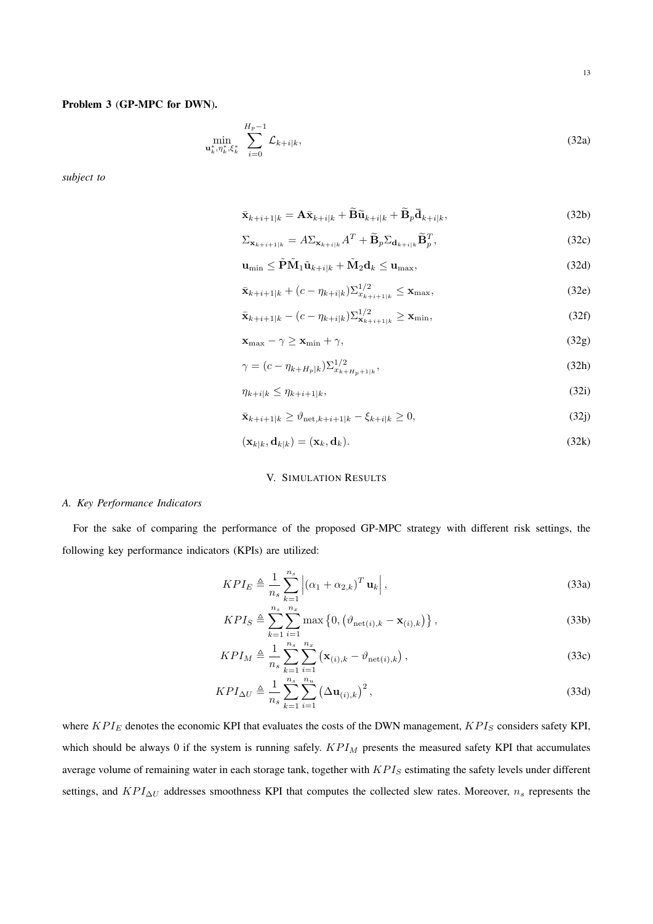## Problem 3 (GP-MPC for DWN).

$$
\min_{\mathbf{u}_k^*, \eta_k^*, \xi_k^*} \sum_{i=0}^{H_p - 1} \mathcal{L}_{k+i|k},
$$
\n(32a)

*subject to*

$$
\bar{\mathbf{x}}_{k+i+1|k} = \mathbf{A}\bar{\mathbf{x}}_{k+i|k} + \widetilde{\mathbf{B}}\widetilde{\mathbf{u}}_{k+i|k} + \widetilde{\mathbf{B}}_p\bar{\mathbf{d}}_{k+i|k},\tag{32b}
$$

$$
\Sigma_{\mathbf{x}_{k+i+1|k}} = A \Sigma_{\mathbf{x}_{k+i|k}} A^T + \widetilde{\mathbf{B}}_p \Sigma_{\mathbf{d}_{k+i|k}} \widetilde{\mathbf{B}}_p^T,
$$
\n(32c)

$$
\mathbf{u}_{\min} \leq \tilde{\mathbf{P}} \tilde{\mathbf{M}}_1 \tilde{\mathbf{u}}_{k+i|k} + \tilde{\mathbf{M}}_2 \mathbf{d}_k \leq \mathbf{u}_{\max},\tag{32d}
$$

$$
\bar{\mathbf{x}}_{k+i+1|k} + (c - \eta_{k+i|k}) \Sigma_{x_{k+i+1|k}}^{1/2} \le \mathbf{x}_{\text{max}},
$$
\n(32e)

$$
\bar{\mathbf{x}}_{k+i+1|k} - (c - \eta_{k+i|k}) \Sigma_{\mathbf{x}_{k+i+1|k}}^{1/2} \ge \mathbf{x}_{\min},
$$
\n(32f)

$$
\mathbf{x}_{\max} - \gamma \ge \mathbf{x}_{\min} + \gamma,\tag{32g}
$$

$$
\gamma = (c - \eta_{k+H_p|k}) \Sigma_{x_{k+H_p+1|k}}^{1/2},\tag{32h}
$$

$$
\eta_{k+i|k} \le \eta_{k+i+1|k},\tag{321}
$$

$$
\bar{\mathbf{x}}_{k+i+1|k} \ge \vartheta_{\text{net},k+i+1|k} - \xi_{k+i|k} \ge 0,\tag{32j}
$$

$$
(\mathbf{x}_{k|k}, \mathbf{d}_{k|k}) = (\mathbf{x}_k, \mathbf{d}_k). \tag{32k}
$$

## V. SIMULATION RESULTS

## *A. Key Performance Indicators*

For the sake of comparing the performance of the proposed GP-MPC strategy with different risk settings, the following key performance indicators (KPIs) are utilized:

$$
KPI_E \triangleq \frac{1}{n_s} \sum_{k=1}^{n_s} \left| \left( \alpha_1 + \alpha_{2,k} \right)^T \mathbf{u}_k \right|,
$$
\n(33a)

$$
KPI_S \triangleq \sum_{k=1}^{n_s} \sum_{i=1}^{n_x} \max\left\{0, \left(\vartheta_{\text{net}(i),k} - \mathbf{x}_{(i),k}\right)\right\},\tag{33b}
$$

$$
KPI_M \triangleq \frac{1}{n_s} \sum_{k=1}^{n_s} \sum_{i=1}^{n_x} (\mathbf{x}_{(i),k} - \vartheta_{\text{net}(i),k}),
$$
\n(33c)

$$
KPI_{\Delta U} \triangleq \frac{1}{n_s} \sum_{k=1}^{n_s} \sum_{i=1}^{n_u} \left(\Delta \mathbf{u}_{(i),k}\right)^2,\tag{33d}
$$

where  $KPI_E$  denotes the economic KPI that evaluates the costs of the DWN management,  $KPI_S$  considers safety KPI, which should be always 0 if the system is running safely.  $KPI_M$  presents the measured safety KPI that accumulates average volume of remaining water in each storage tank, together with  $KPI_S$  estimating the safety levels under different settings, and  $KPI_{\Delta U}$  addresses smoothness KPI that computes the collected slew rates. Moreover,  $n_s$  represents the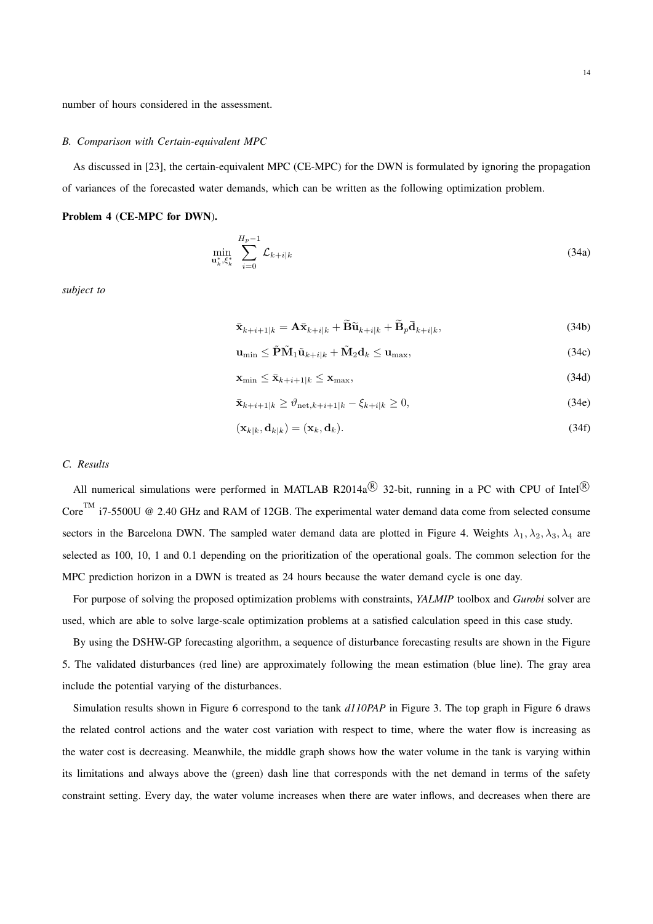#### *B. Comparison with Certain-equivalent MPC*

As discussed in [23], the certain-equivalent MPC (CE-MPC) for the DWN is formulated by ignoring the propagation of variances of the forecasted water demands, which can be written as the following optimization problem.

## Problem 4 (CE-MPC for DWN).

$$
\min_{\mathbf{u}_k^*, \xi_k^*} \sum_{i=0}^{H_p - 1} \mathcal{L}_{k+i|k} \tag{34a}
$$

*subject to*

$$
\bar{\mathbf{x}}_{k+i+1|k} = \mathbf{A}\bar{\mathbf{x}}_{k+i|k} + \widetilde{\mathbf{B}}\widetilde{\mathbf{u}}_{k+i|k} + \widetilde{\mathbf{B}}_p\bar{\mathbf{d}}_{k+i|k},\tag{34b}
$$

$$
\mathbf{u}_{\min} \leq \tilde{\mathbf{P}} \tilde{\mathbf{M}}_1 \tilde{\mathbf{u}}_{k+i|k} + \tilde{\mathbf{M}}_2 \mathbf{d}_k \leq \mathbf{u}_{\max},\tag{34c}
$$

$$
\mathbf{x}_{\min} \le \bar{\mathbf{x}}_{k+i+1|k} \le \mathbf{x}_{\max},\tag{34d}
$$

$$
\bar{\mathbf{x}}_{k+i+1|k} \ge \vartheta_{\text{net},k+i+1|k} - \xi_{k+i|k} \ge 0,\tag{34e}
$$

$$
(\mathbf{x}_{k|k}, \mathbf{d}_{k|k}) = (\mathbf{x}_k, \mathbf{d}_k). \tag{34f}
$$

## *C. Results*

All numerical simulations were performed in MATLAB R2014a $^{\circledR}$  32-bit, running in a PC with CPU of Intel $^{\circledR}$ Core<sup>TM</sup> i7-5500U @ 2.40 GHz and RAM of 12GB. The experimental water demand data come from selected consume sectors in the Barcelona DWN. The sampled water demand data are plotted in Figure 4. Weights  $\lambda_1, \lambda_2, \lambda_3, \lambda_4$  are selected as 100, 10, 1 and 0.1 depending on the prioritization of the operational goals. The common selection for the MPC prediction horizon in a DWN is treated as 24 hours because the water demand cycle is one day.

For purpose of solving the proposed optimization problems with constraints, *YALMIP* toolbox and *Gurobi* solver are used, which are able to solve large-scale optimization problems at a satisfied calculation speed in this case study.

By using the DSHW-GP forecasting algorithm, a sequence of disturbance forecasting results are shown in the Figure 5. The validated disturbances (red line) are approximately following the mean estimation (blue line). The gray area include the potential varying of the disturbances.

Simulation results shown in Figure 6 correspond to the tank *d110PAP* in Figure 3. The top graph in Figure 6 draws the related control actions and the water cost variation with respect to time, where the water flow is increasing as the water cost is decreasing. Meanwhile, the middle graph shows how the water volume in the tank is varying within its limitations and always above the (green) dash line that corresponds with the net demand in terms of the safety constraint setting. Every day, the water volume increases when there are water inflows, and decreases when there are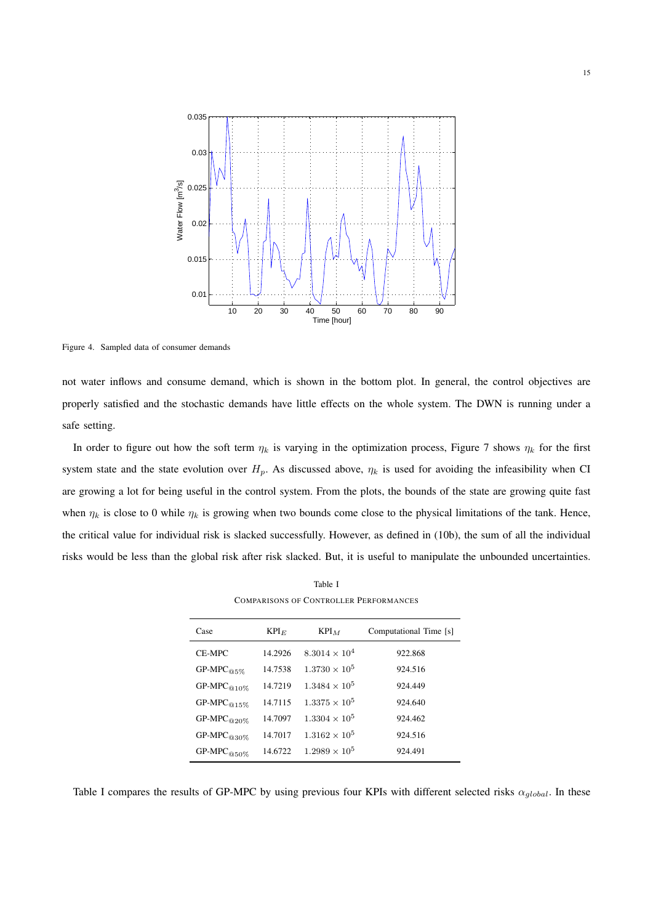

Figure 4. Sampled data of consumer demands

not water inflows and consume demand, which is shown in the bottom plot. In general, the control objectives are properly satisfied and the stochastic demands have little effects on the whole system. The DWN is running under a safe setting.

In order to figure out how the soft term  $\eta_k$  is varying in the optimization process, Figure 7 shows  $\eta_k$  for the first system state and the state evolution over  $H_p$ . As discussed above,  $\eta_k$  is used for avoiding the infeasibility when CI are growing a lot for being useful in the control system. From the plots, the bounds of the state are growing quite fast when  $\eta_k$  is close to 0 while  $\eta_k$  is growing when two bounds come close to the physical limitations of the tank. Hence, the critical value for individual risk is slacked successfully. However, as defined in (10b), the sum of all the individual risks would be less than the global risk after risk slacked. But, it is useful to manipulate the unbounded uncertainties.

| COMPARISONS OF CONTROLLER LERFORMANCES |         |                        |                        |
|----------------------------------------|---------|------------------------|------------------------|
| Case                                   | $KPI_E$ | $KPI_M$                | Computational Time [s] |
| CE-MPC                                 | 14.2926 | $8.3014 \times 10^{4}$ | 922.868                |
| $GP-MPC$ <sub><math>@5\%</math></sub>  | 14.7538 | $1.3730 \times 10^5$   | 924.516                |
| $GP-MPC@10\%$                          | 14.7219 | $1.3484 \times 10^5$   | 924.449                |
| $GP-MPC@15%$                           | 14.7115 | $1.3375 \times 10^5$   | 924.640                |
| $GP-MPC_{@20\%}$                       | 14.7097 | $1.3304 \times 10^5$   | 924.462                |
| GP-MPC@30%                             | 14.7017 | $1.3162 \times 10^5$   | 924.516                |
| $GP-MPC_{@50\%}$                       | 14.6722 | $1.2989 \times 10^5$   | 924.491                |

Table I COMPARISONS OF CONTROLLER PERFORMANCES

Table I compares the results of GP-MPC by using previous four KPIs with different selected risks  $\alpha_{global}$ . In these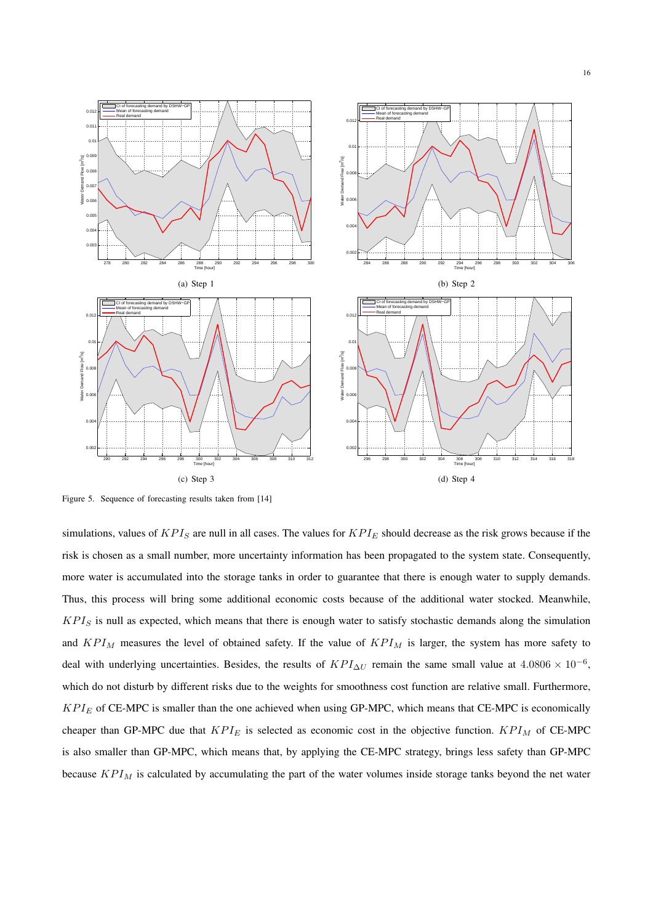

Figure 5. Sequence of forecasting results taken from [14]

simulations, values of  $KPI_S$  are null in all cases. The values for  $KPI_E$  should decrease as the risk grows because if the risk is chosen as a small number, more uncertainty information has been propagated to the system state. Consequently, more water is accumulated into the storage tanks in order to guarantee that there is enough water to supply demands. Thus, this process will bring some additional economic costs because of the additional water stocked. Meanwhile,  $KPI<sub>S</sub>$  is null as expected, which means that there is enough water to satisfy stochastic demands along the simulation and  $KPI_M$  measures the level of obtained safety. If the value of  $KPI_M$  is larger, the system has more safety to deal with underlying uncertainties. Besides, the results of  $KPI_{\Delta U}$  remain the same small value at 4.0806 × 10<sup>-6</sup>, which do not disturb by different risks due to the weights for smoothness cost function are relative small. Furthermore,  $KPI_E$  of CE-MPC is smaller than the one achieved when using GP-MPC, which means that CE-MPC is economically cheaper than GP-MPC due that  $KPI_E$  is selected as economic cost in the objective function.  $KPI_M$  of CE-MPC is also smaller than GP-MPC, which means that, by applying the CE-MPC strategy, brings less safety than GP-MPC because  $KPI_M$  is calculated by accumulating the part of the water volumes inside storage tanks beyond the net water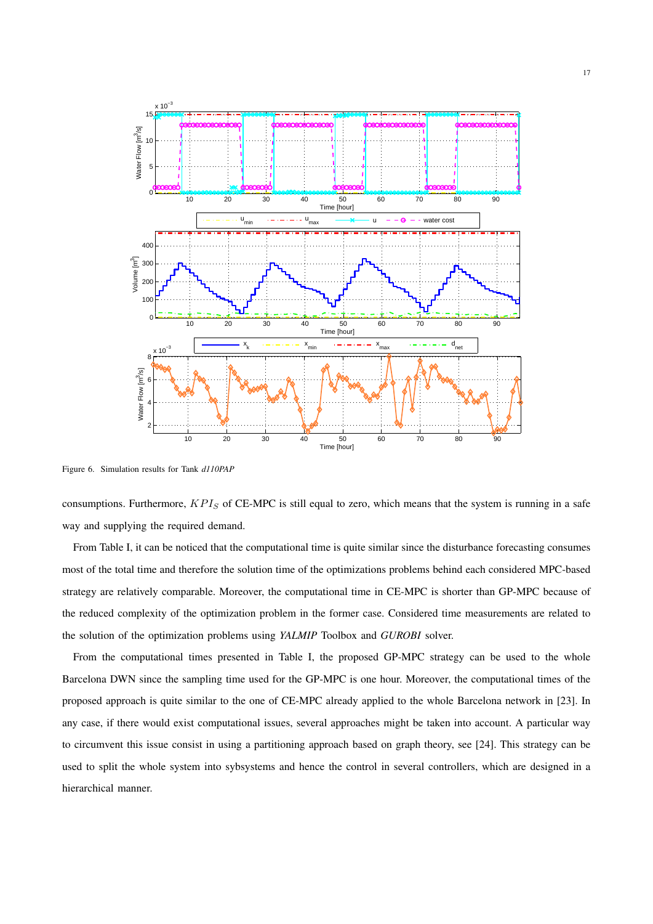

Figure 6. Simulation results for Tank *d110PAP*

consumptions. Furthermore,  $KPI_S$  of CE-MPC is still equal to zero, which means that the system is running in a safe way and supplying the required demand.

From Table I, it can be noticed that the computational time is quite similar since the disturbance forecasting consumes most of the total time and therefore the solution time of the optimizations problems behind each considered MPC-based strategy are relatively comparable. Moreover, the computational time in CE-MPC is shorter than GP-MPC because of the reduced complexity of the optimization problem in the former case. Considered time measurements are related to the solution of the optimization problems using *YALMIP* Toolbox and *GUROBI* solver.

From the computational times presented in Table I, the proposed GP-MPC strategy can be used to the whole Barcelona DWN since the sampling time used for the GP-MPC is one hour. Moreover, the computational times of the proposed approach is quite similar to the one of CE-MPC already applied to the whole Barcelona network in [23]. In any case, if there would exist computational issues, several approaches might be taken into account. A particular way to circumvent this issue consist in using a partitioning approach based on graph theory, see [24]. This strategy can be used to split the whole system into sybsystems and hence the control in several controllers, which are designed in a hierarchical manner.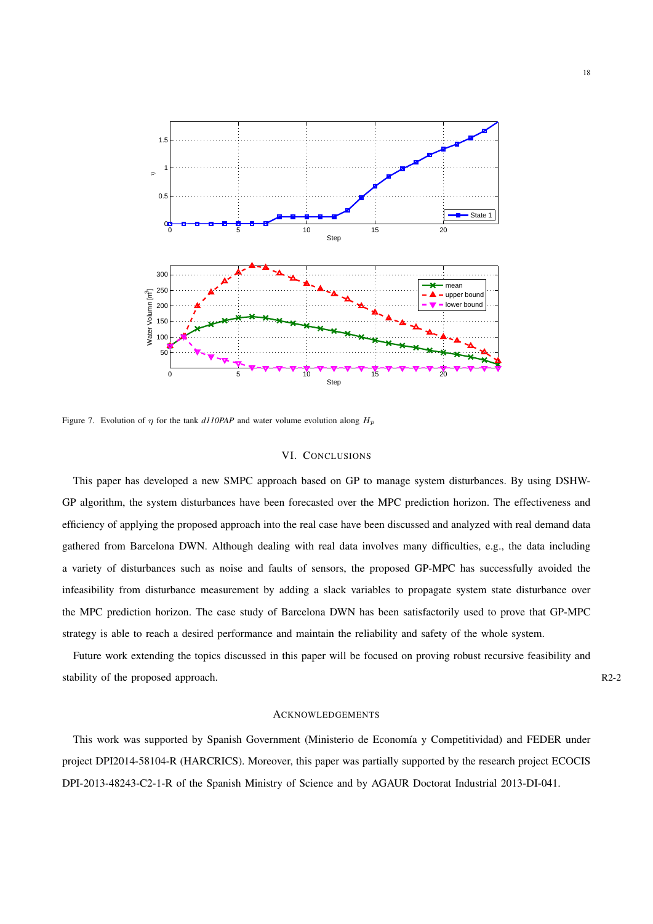

Figure 7. Evolution of  $\eta$  for the tank *d110PAP* and water volume evolution along  $H_p$ 

## VI. CONCLUSIONS

This paper has developed a new SMPC approach based on GP to manage system disturbances. By using DSHW-GP algorithm, the system disturbances have been forecasted over the MPC prediction horizon. The effectiveness and efficiency of applying the proposed approach into the real case have been discussed and analyzed with real demand data gathered from Barcelona DWN. Although dealing with real data involves many difficulties, e.g., the data including a variety of disturbances such as noise and faults of sensors, the proposed GP-MPC has successfully avoided the infeasibility from disturbance measurement by adding a slack variables to propagate system state disturbance over the MPC prediction horizon. The case study of Barcelona DWN has been satisfactorily used to prove that GP-MPC strategy is able to reach a desired performance and maintain the reliability and safety of the whole system.

Future work extending the topics discussed in this paper will be focused on proving robust recursive feasibility and stability of the proposed approach. R2-2

## ACKNOWLEDGEMENTS

This work was supported by Spanish Government (Ministerio de Economía y Competitividad) and FEDER under project DPI2014-58104-R (HARCRICS). Moreover, this paper was partially supported by the research project ECOCIS DPI-2013-48243-C2-1-R of the Spanish Ministry of Science and by AGAUR Doctorat Industrial 2013-DI-041.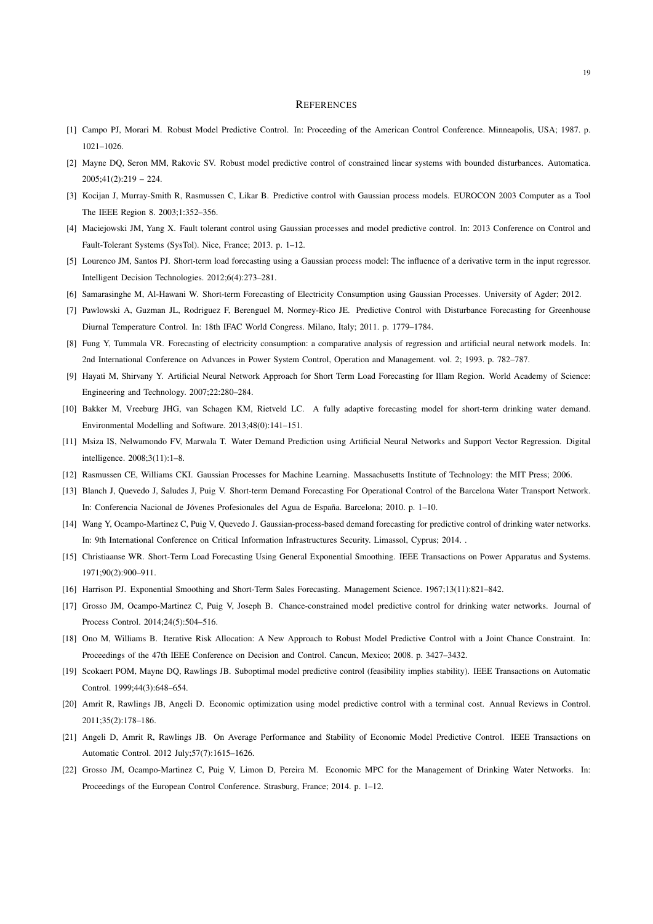#### **REFERENCES**

- [1] Campo PJ, Morari M. Robust Model Predictive Control. In: Proceeding of the American Control Conference. Minneapolis, USA; 1987. p. 1021–1026.
- [2] Mayne DQ, Seron MM, Rakovic SV. Robust model predictive control of constrained linear systems with bounded disturbances. Automatica.  $2005:41(2):219 - 224.$
- [3] Kocijan J, Murray-Smith R, Rasmussen C, Likar B. Predictive control with Gaussian process models. EUROCON 2003 Computer as a Tool The IEEE Region 8. 2003;1:352–356.
- [4] Maciejowski JM, Yang X. Fault tolerant control using Gaussian processes and model predictive control. In: 2013 Conference on Control and Fault-Tolerant Systems (SysTol). Nice, France; 2013. p. 1–12.
- [5] Lourenco JM, Santos PJ. Short-term load forecasting using a Gaussian process model: The influence of a derivative term in the input regressor. Intelligent Decision Technologies. 2012;6(4):273–281.
- [6] Samarasinghe M, Al-Hawani W. Short-term Forecasting of Electricity Consumption using Gaussian Processes. University of Agder; 2012.
- [7] Pawlowski A, Guzman JL, Rodriguez F, Berenguel M, Normey-Rico JE. Predictive Control with Disturbance Forecasting for Greenhouse Diurnal Temperature Control. In: 18th IFAC World Congress. Milano, Italy; 2011. p. 1779–1784.
- [8] Fung Y, Tummala VR. Forecasting of electricity consumption: a comparative analysis of regression and artificial neural network models. In: 2nd International Conference on Advances in Power System Control, Operation and Management. vol. 2; 1993. p. 782–787.
- [9] Hayati M, Shirvany Y. Artificial Neural Network Approach for Short Term Load Forecasting for Illam Region. World Academy of Science: Engineering and Technology. 2007;22:280–284.
- [10] Bakker M, Vreeburg JHG, van Schagen KM, Rietveld LC. A fully adaptive forecasting model for short-term drinking water demand. Environmental Modelling and Software. 2013;48(0):141–151.
- [11] Msiza IS, Nelwamondo FV, Marwala T. Water Demand Prediction using Artificial Neural Networks and Support Vector Regression. Digital intelligence. 2008;3(11):1–8.
- [12] Rasmussen CE, Williams CKI. Gaussian Processes for Machine Learning. Massachusetts Institute of Technology: the MIT Press; 2006.
- [13] Blanch J, Quevedo J, Saludes J, Puig V. Short-term Demand Forecasting For Operational Control of the Barcelona Water Transport Network. In: Conferencia Nacional de Jóvenes Profesionales del Agua de España. Barcelona; 2010. p. 1–10.
- [14] Wang Y, Ocampo-Martinez C, Puig V, Quevedo J. Gaussian-process-based demand forecasting for predictive control of drinking water networks. In: 9th International Conference on Critical Information Infrastructures Security. Limassol, Cyprus; 2014. .
- [15] Christiaanse WR. Short-Term Load Forecasting Using General Exponential Smoothing. IEEE Transactions on Power Apparatus and Systems. 1971;90(2):900–911.
- [16] Harrison PJ. Exponential Smoothing and Short-Term Sales Forecasting. Management Science. 1967;13(11):821–842.
- [17] Grosso JM, Ocampo-Martinez C, Puig V, Joseph B. Chance-constrained model predictive control for drinking water networks. Journal of Process Control. 2014;24(5):504–516.
- [18] Ono M, Williams B. Iterative Risk Allocation: A New Approach to Robust Model Predictive Control with a Joint Chance Constraint. In: Proceedings of the 47th IEEE Conference on Decision and Control. Cancun, Mexico; 2008. p. 3427–3432.
- [19] Scokaert POM, Mayne DQ, Rawlings JB. Suboptimal model predictive control (feasibility implies stability). IEEE Transactions on Automatic Control. 1999;44(3):648–654.
- [20] Amrit R, Rawlings JB, Angeli D. Economic optimization using model predictive control with a terminal cost. Annual Reviews in Control. 2011;35(2):178–186.
- [21] Angeli D, Amrit R, Rawlings JB. On Average Performance and Stability of Economic Model Predictive Control. IEEE Transactions on Automatic Control. 2012 July;57(7):1615–1626.
- [22] Grosso JM, Ocampo-Martinez C, Puig V, Limon D, Pereira M. Economic MPC for the Management of Drinking Water Networks. In: Proceedings of the European Control Conference. Strasburg, France; 2014. p. 1–12.